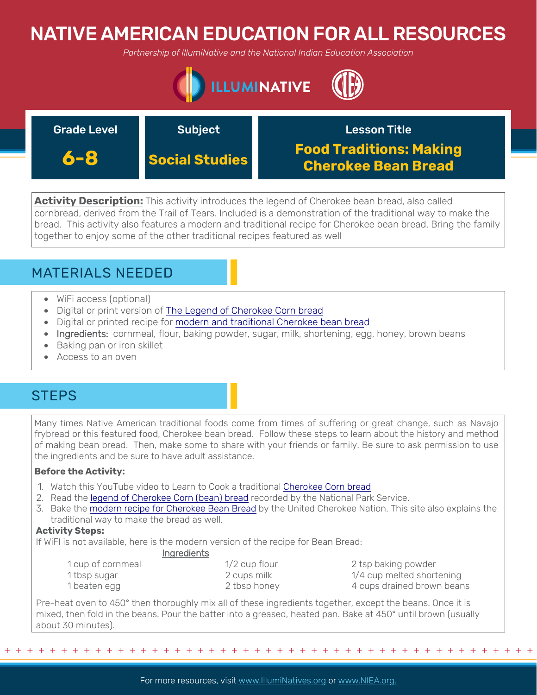# NATIVE AMERICAN EDUCATION FOR ALL RESOURCES

*Partnership of IllumiNative and the National Indian Education Association*



| <b>Grade Level</b> | <b>Subject</b>        | <b>Lesson Title</b>                                          |
|--------------------|-----------------------|--------------------------------------------------------------|
| 6-8                | <b>Social Studies</b> | <b>Food Traditions: Making</b><br><b>Cherokee Bean Bread</b> |

**Activity Description:** This activity introduces the legend of Cherokee bean bread, also called cornbread, derived from the Trail of Tears. Included is a demonstration of the traditional way to make the bread. This activity also features a modern and traditional recipe for Cherokee bean bread. Bring the family together to enjoy some of the other traditional recipes featured as well



- WiFi access (optional)
- Digital or print version of [The Legend of Cherokee Corn bread](https://www.nps.gov/common/uploads/teachers/lessonplans/Reading-The-Legend-of-the-Corn-Bread.pdf)
- Digital or printed recipe for [modern and traditional Cherokee bean bread](http://theucn.com/beanbread.html)
- Ingredients: cornmeal, flour, baking powder, sugar, milk, shortening, egg, honey, brown beans
- Baking pan or iron skillet
- Access to an oven

## **STEPS**

Many times Native American traditional foods come from times of suffering or great change, such as Navajo frybread or this featured food, Cherokee bean bread. Follow these steps to learn about the history and method of making bean bread. Then, make some to share with your friends or family. Be sure to ask permission to use the ingredients and be sure to have adult assistance.

### **Before the Activity:**

- 1. Watch this YouTube video to Learn to Cook a traditional [Cherokee Corn bread](https://www.youtube.com/watch?v=EDxo6Uh0asw)
- 2. Read the [legend of Cherokee Corn \(bean\) bread](https://www.nps.gov/common/uploads/teachers/lessonplans/Reading-The-Legend-of-the-Corn-Bread.pdf) recorded by the National Park Service.
- 3. Bake the [modern recipe for Cherokee Bean Bread](http://theucn.com/beanbread.html) by the United Cherokee Nation. This site also explains the traditional way to make the bread as well.

### **Activity Steps:**

If WiFI is not available, here is the modern version of the recipe for Bean Bread:

|--|--|

| 1 cup of cornmeal | $1/2$ cup flour |
|-------------------|-----------------|
| 1 tbsp sugar      | 2 cups milk     |
| 1 beaten egg      | 2 tbsp honey    |

2 tsp baking powder  $1/4$  cup melted shortening 4 cups drained brown beans

Pre-heat oven to 450° then thoroughly mix all of these ingredients together, except the beans. Once it is mixed, then fold in the beans. Pour the batter into a greased, heated pan. Bake at 450° until brown (usually about 30 minutes).

+ + + + + + + + + + + + + + + + + + + + + + + + + + + + + + + + + + + + + + + + + + + + + + + +